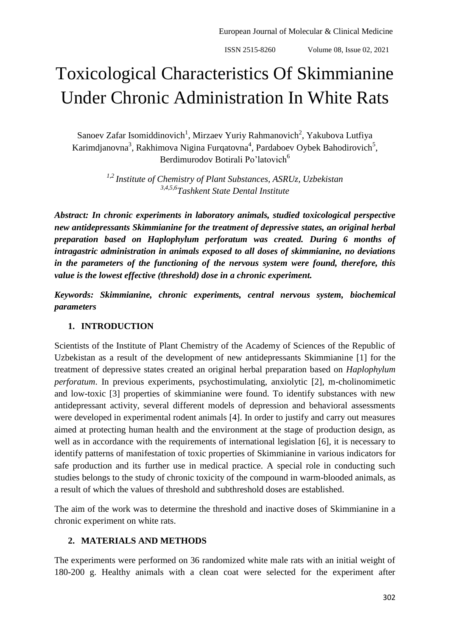# Toxicological Characteristics Of Skimmianine Under Chronic Administration In White Rats

Sanoev Zafar Isomiddinovich<sup>1</sup>, Mirzaev Yuriy Rahmanovich<sup>2</sup>, Yakubova Lutfiya Karimdjanovna<sup>3</sup>, Rakhimova Nigina Furqatovna<sup>4</sup>, Pardaboev Oybek Bahodirovich<sup>5</sup>, Berdimurodov Botirali Po'latovich<sup>6</sup>

> *1,2 Institute of Chemistry of Plant Substances, ASRUz, Uzbekistan 3,4,5,6Tashkent State Dental Institute*

*Abstract: In chronic experiments in laboratory animals, studied toxicological perspective new antidepressants Skimmianine for the treatment of depressive states, an original herbal preparation based on Haplophylum perforatum was created. During 6 months of intragastric administration in animals exposed to all doses of skimmianine, no deviations in the parameters of the functioning of the nervous system were found, therefore, this value is the lowest effective (threshold) dose in a chronic experiment.*

*Keywords: Skimmianine, chronic experiments, central nervous system, biochemical parameters*

#### **1. INTRODUCTION**

Scientists of the Institute of Plant Chemistry of the Academy of Sciences of the Republic of Uzbekistan as a result of the development of new antidepressants Skimmianine [1] for the treatment of depressive states created an original herbal preparation based on *Haplophylum perforatum*. In previous experiments, psychostimulating, anxiolytic [2], m-cholinomimetic and low-toxic [3] properties of skimmianine were found. To identify substances with new antidepressant activity, several different models of depression and behavioral assessments were developed in experimental rodent animals [4]. In order to justify and carry out measures aimed at protecting human health and the environment at the stage of production design, as well as in accordance with the requirements of international legislation [6], it is necessary to identify patterns of manifestation of toxic properties of Skimmianine in various indicators for safe production and its further use in medical practice. A special role in conducting such studies belongs to the study of chronic toxicity of the compound in warm-blooded animals, as a result of which the values of threshold and subthreshold doses are established.

The aim of the work was to determine the threshold and inactive doses of Skimmianine in a chronic experiment on white rats.

### **2. MATERIALS AND METHODS**

The experiments were performed on 36 randomized white male rats with an initial weight of 180-200 g. Healthy animals with a clean coat were selected for the experiment after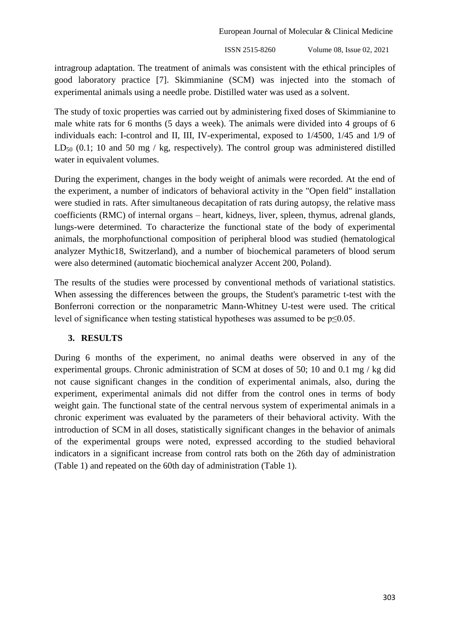European Journal of Molecular & Clinical Medicine

ISSN 2515-8260 Volume 08, Issue 02, 2021

intragroup adaptation. The treatment of animals was consistent with the ethical principles of good laboratory practice [7]. Skimmianine (SCM) was injected into the stomach of experimental animals using a needle probe. Distilled water was used as a solvent.

The study of toxic properties was carried out by administering fixed doses of Skimmianine to male white rats for 6 months (5 days a week). The animals were divided into 4 groups of 6 individuals each: I-control and II, III, IV-experimental, exposed to 1/4500, 1/45 and 1/9 of LD<sub>50</sub> (0.1; 10 and 50 mg / kg, respectively). The control group was administered distilled water in equivalent volumes.

During the experiment, changes in the body weight of animals were recorded. At the end of the experiment, a number of indicators of behavioral activity in the "Open field" installation were studied in rats. After simultaneous decapitation of rats during autopsy, the relative mass coefficients (RMC) of internal organs – heart, kidneys, liver, spleen, thymus, adrenal glands, lungs-were determined. To characterize the functional state of the body of experimental animals, the morphofunctional composition of peripheral blood was studied (hematological analyzer Mythic18, Switzerland), and a number of biochemical parameters of blood serum were also determined (automatic biochemical analyzer Accent 200, Poland).

The results of the studies were processed by conventional methods of variational statistics. When assessing the differences between the groups, the Student's parametric t-test with the Bonferroni correction or the nonparametric Mann-Whitney U-test were used. The critical level of significance when testing statistical hypotheses was assumed to be p≤0.05.

## **3. RESULTS**

During 6 months of the experiment, no animal deaths were observed in any of the experimental groups. Chronic administration of SCM at doses of 50; 10 and 0.1 mg / kg did not cause significant changes in the condition of experimental animals, also, during the experiment, experimental animals did not differ from the control ones in terms of body weight gain. The functional state of the central nervous system of experimental animals in a chronic experiment was evaluated by the parameters of their behavioral activity. With the introduction of SCM in all doses, statistically significant changes in the behavior of animals of the experimental groups were noted, expressed according to the studied behavioral indicators in a significant increase from control rats both on the 26th day of administration (Table 1) and repeated on the 60th day of administration (Table 1).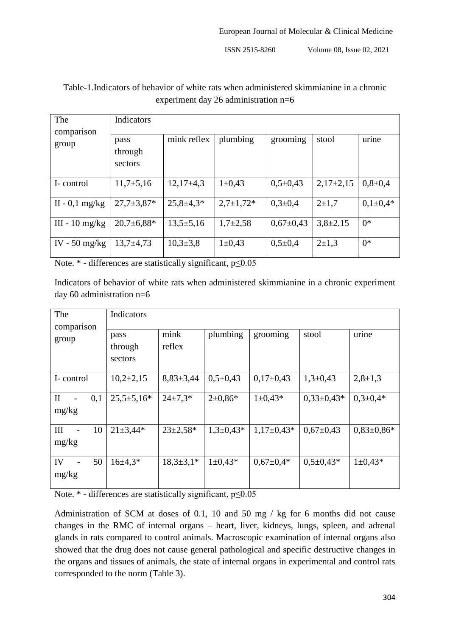ISSN 2515-8260 Volume 08, Issue 02, 2021

| The<br>comparison                     | Indicators                 |                 |               |                 |               |               |  |
|---------------------------------------|----------------------------|-----------------|---------------|-----------------|---------------|---------------|--|
| group                                 | pass<br>through<br>sectors | mink reflex     | plumbing      | grooming        | stool         | urine         |  |
| I-control                             | $11,7+5,16$                | $12,17\pm4,3$   | $1 \pm 0.43$  | $0,5+0,43$      | $2,17\pm2,15$ | $0,8{\pm}0,4$ |  |
| $II - 0,1$ mg/kg                      | $27.7 \pm 3.87*$           | $25,8 \pm 4,3*$ | $2,7\pm1,72*$ | $0,3{\pm}0,4$   | $2+1.7$       | $0,1\pm0.4*$  |  |
| $III - 10$ mg/kg                      | $20.7 \pm 6.88*$           | $13,5+5,16$     | $1,7+2,58$    | $0,67{\pm}0,43$ | $3,8\pm2,15$  | $0*$          |  |
| IV - $50 \frac{\text{mg}}{\text{kg}}$ | $13,7+4,73$                | $10,3{\pm}3,8$  | $1 \pm 0.43$  | $0,5\pm0,4$     | $2+1,3$       | $0^*$         |  |

## Table-1.Indicators of behavior of white rats when administered skimmianine in a chronic experiment day 26 administration n=6

Note. \* - differences are statistically significant, p≤0.05

Indicators of behavior of white rats when administered skimmianine in a chronic experiment day 60 administration n=6

| The<br>comparison            | Indicators                 |                 |               |                 |                 |                  |
|------------------------------|----------------------------|-----------------|---------------|-----------------|-----------------|------------------|
| group                        | pass<br>through<br>sectors | mink<br>reflex  | plumbing      | grooming        | stool           | urine            |
| I-control                    | $10,2{\pm}2,15$            | $8,83\pm3,44$   | $0,5+0,43$    | $0,17\pm0,43$   | $1,3+0,43$      | $2,8+1,3$        |
| $\mathbf{I}$<br>0,1<br>mg/kg | $25,5 \pm 5,16*$           | $24 \pm 7.3*$   | $2\pm 0.86*$  | $1 \pm 0.43*$   | $0,33\pm0,43*$  | $0.3 \pm 0.4*$   |
| 10<br>III<br>mg/kg           | $21 \pm 3,44*$             | $23 \pm 2.58*$  | $1,3+0,43*$   | $1,17\pm0,43*$  | $0.67 \pm 0.43$ | $0.83 \pm 0.86*$ |
| 50<br>IV<br>mg/kg            | $16\pm4.3*$                | $18,3{\pm}3,1*$ | $1 \pm 0.43*$ | $0.67 \pm 0.4*$ | $0,5\pm0,43*$   | $1 \pm 0.43*$    |

Note. \* - differences are statistically significant, p≤0.05

Administration of SCM at doses of 0.1, 10 and 50 mg / kg for 6 months did not cause changes in the RMC of internal organs – heart, liver, kidneys, lungs, spleen, and adrenal glands in rats compared to control animals. Macroscopic examination of internal organs also showed that the drug does not cause general pathological and specific destructive changes in the organs and tissues of animals, the state of internal organs in experimental and control rats corresponded to the norm (Table 3).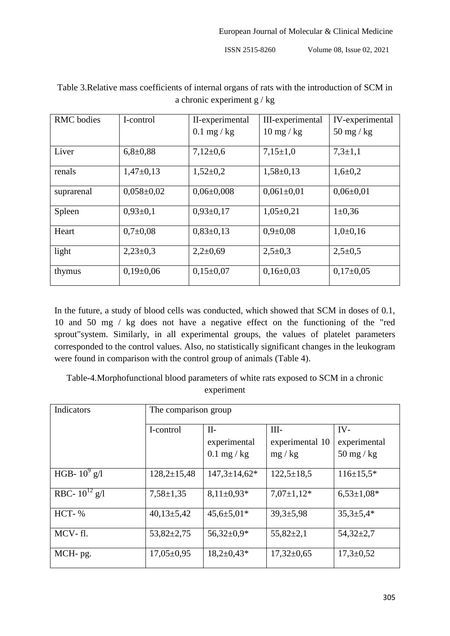ISSN 2515-8260 Volume 08, Issue 02, 2021

| <b>RMC</b> bodies | I-control        | II-experimental  | III-experimental            | IV-experimental             |
|-------------------|------------------|------------------|-----------------------------|-----------------------------|
|                   |                  | $0.1$ mg / kg    | $10 \text{ mg} / \text{kg}$ | $50 \text{ mg} / \text{kg}$ |
| Liver             | $6,8{\pm}0,88$   | $7,12\pm0.6$     | $7,15\pm1,0$                | $7,3{\pm}1,1$               |
| renals            | $1,47\pm0,13$    | $1,52\pm0.2$     | $1,58 \pm 0,13$             | $1,6{\pm}0,2$               |
| suprarenal        | $0.058 \pm 0.02$ | $0.06 \pm 0.008$ | $0,061\pm0,01$              | $0.06 \pm 0.01$             |
| Spleen            | $0,93\pm0,1$     | $0,93\pm0,17$    | $1,05\pm0,21$               | $1 \pm 0.36$                |
| Heart             | $0.7 \pm 0.08$   | $0,83\pm0,13$    | $0.9 \pm 0.08$              | $1,0+0,16$                  |
| light             | $2,23\pm0,3$     | $2,2+0,69$       | $2,5\pm0,3$                 | $2,5+0,5$                   |
| thymus            | $0,19\pm0,06$    | $0,15\pm0.07$    | $0,16\pm0.03$               | $0,17\pm0.05$               |

# Table 3.Relative mass coefficients of internal organs of rats with the introduction of SCM in a chronic experiment g / kg

In the future, a study of blood cells was conducted, which showed that SCM in doses of 0.1, 10 and 50 mg / kg does not have a negative effect on the functioning of the "red sprout"system. Similarly, in all experimental groups, the values of platelet parameters corresponded to the control values. Also, no statistically significant changes in the leukogram were found in comparison with the control group of animals (Table 4).

Table-4.Morphofunctional blood parameters of white rats exposed to SCM in a chronic experiment

| Indicators         | The comparison group |                     |                  |                             |  |
|--------------------|----------------------|---------------------|------------------|-----------------------------|--|
|                    | I-control            | $II-$               | $III-$           | $IV-$                       |  |
|                    |                      | experimental        | experimental 10  | experimental                |  |
|                    |                      | $0.1$ mg / kg       | mg / kg          | $50 \text{ mg} / \text{kg}$ |  |
| HGB- $10^9$ g/l    | $128,2 \pm 15,48$    | $147,3 \pm 14,62^*$ | $122,5+18,5$     | $116 \pm 15.5*$             |  |
| RBC- $10^{12}$ g/l | $7,58 \pm 1,35$      | $8,11\pm0,93*$      | $7,07\pm1,12*$   | $6,53\pm1,08*$              |  |
| HCT-%              | $40,13\pm5,42$       | $45,6{\pm}5,01*$    | $39,3 \pm 5,98$  | $35,3{\pm}5,4*$             |  |
| MCV-fl.            | $53,82 \pm 2,75$     | $56,32\pm0.9*$      | $55,82 \pm 2,1$  | $54,32 \pm 2,7$             |  |
| MCH-pg.            | $17,05 \pm 0.95$     | $18,2{\pm}0,43*$    | $17,32 \pm 0.65$ | $17,3 \pm 0.52$             |  |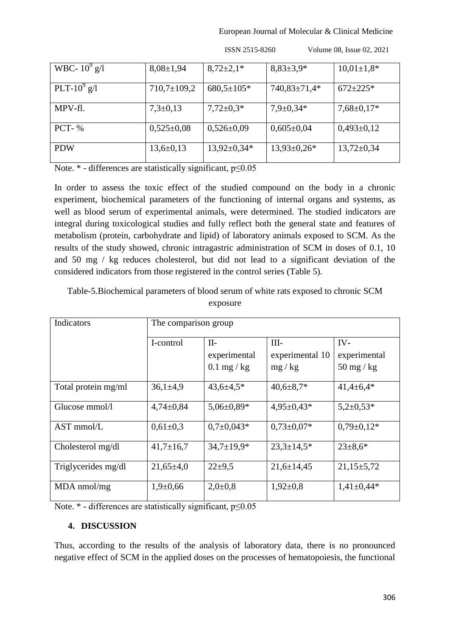European Journal of Molecular & Clinical Medicine

| WBC- $10^9$ g/l   | $8,08 \pm 1,94$   | $8,72\pm2,1*$     | $8,83\pm3,9*$    | $10,01\pm1,8*$   |
|-------------------|-------------------|-------------------|------------------|------------------|
| PLT-10 $^{9}$ g/l | $710,7 \pm 109,2$ | $680,5 \pm 105*$  | 740,83±71,4*     | $672 \pm 225*$   |
| MPV-fl.           | $7,3\pm0,13$      | $7,72\pm0.3*$     | $7,9 \pm 0,34*$  | $7,68 \pm 0,17*$ |
| $PCT-$ %          | $0,525\pm0,08$    | $0,526 \pm 0.09$  | $0,605 \pm 0,04$ | $0,493\pm0,12$   |
| <b>PDW</b>        | $13,6 \pm 0,13$   | $13,92 \pm 0,34*$ | $13,93\pm0,26*$  | $13,72 \pm 0,34$ |

ISSN 2515-8260 Volume 08, Issue 02, 2021

Note. \* - differences are statistically significant, p≤0.05

In order to assess the toxic effect of the studied compound on the body in a chronic experiment, biochemical parameters of the functioning of internal organs and systems, as well as blood serum of experimental animals, were determined. The studied indicators are integral during toxicological studies and fully reflect both the general state and features of metabolism (protein, carbohydrate and lipid) of laboratory animals exposed to SCM. As the results of the study showed, chronic intragastric administration of SCM in doses of 0.1, 10 and 50 mg / kg reduces cholesterol, but did not lead to a significant deviation of the considered indicators from those registered in the control series (Table 5).

Table-5.Biochemical parameters of blood serum of white rats exposed to chronic SCM exposure

| Indicators          | The comparison group |                   |                  |                             |  |
|---------------------|----------------------|-------------------|------------------|-----------------------------|--|
|                     | I-control            | $II-$             | $III -$          | IV-                         |  |
|                     |                      | experimental      | experimental 10  | experimental                |  |
|                     |                      | $0.1$ mg / kg     | mg/kg            | $50 \text{ mg} / \text{kg}$ |  |
| Total protein mg/ml | $36,1{\pm}4,9$       | $43,6 \pm 4,5*$   | $40,6 \pm 8,7*$  | $41,4\pm 6,4*$              |  |
| Glucose mmol/l      | $4,74\pm0,84$        | $5,06\pm0,89*$    | $4,95 \pm 0,43*$ | $5,2{\pm}0.53*$             |  |
| $AST \, mmol/L$     | $0.61 \pm 0.3$       | $0.7 \pm 0.043*$  | $0.73 \pm 0.07*$ | $0,79\pm0,12*$              |  |
| Cholesterol mg/dl   | $41,7 \pm 16,7$      | $34,7 \pm 19,9^*$ | $23,3 \pm 14,5*$ | $23 \pm 8.6^*$              |  |
| Triglycerides mg/dl | $21,65\pm4,0$        | $22 + 9.5$        | $21,6 \pm 14,45$ | $21,15 \pm 5,72$            |  |
| $MDA$ nmol/mg       | $1,9+0,66$           | $2,0\pm0,8$       | $1,92\pm0,8$     | $1,41\pm0,44*$              |  |

Note. \* - differences are statistically significant, p≤0.05

## **4. DISCUSSION**

Thus, according to the results of the analysis of laboratory data, there is no pronounced negative effect of SCM in the applied doses on the processes of hematopoiesis, the functional